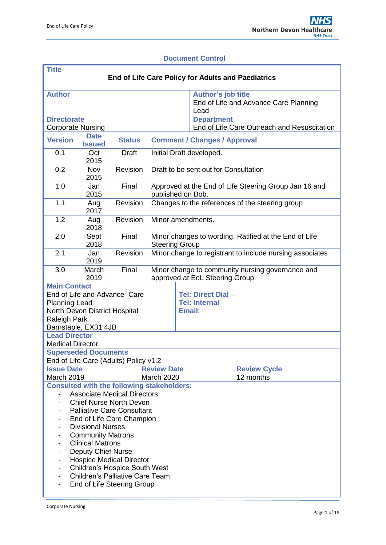### **Document Control**

| <b>Title</b><br>End of Life Care Policy for Adults and Paediatrics                                                                                                                                                                                                                                                                                                                                                                                                                  |                              |                                       |                                                                                     |                                                               |                                                                     |                                  |  |  |
|-------------------------------------------------------------------------------------------------------------------------------------------------------------------------------------------------------------------------------------------------------------------------------------------------------------------------------------------------------------------------------------------------------------------------------------------------------------------------------------|------------------------------|---------------------------------------|-------------------------------------------------------------------------------------|---------------------------------------------------------------|---------------------------------------------------------------------|----------------------------------|--|--|
| <b>Author</b>                                                                                                                                                                                                                                                                                                                                                                                                                                                                       |                              |                                       |                                                                                     |                                                               | Author's job title<br>End of Life and Advance Care Planning<br>Lead |                                  |  |  |
| <b>Directorate</b><br><b>Corporate Nursing</b>                                                                                                                                                                                                                                                                                                                                                                                                                                      |                              |                                       |                                                                                     |                                                               | <b>Department</b><br>End of Life Care Outreach and Resuscitation    |                                  |  |  |
| <b>Version</b>                                                                                                                                                                                                                                                                                                                                                                                                                                                                      | <b>Date</b><br><b>Issued</b> | <b>Status</b>                         | <b>Comment / Changes / Approval</b>                                                 |                                                               |                                                                     |                                  |  |  |
| 0.1                                                                                                                                                                                                                                                                                                                                                                                                                                                                                 | Oct<br>2015                  | <b>Draft</b>                          | Initial Draft developed.                                                            |                                                               |                                                                     |                                  |  |  |
| 0.2                                                                                                                                                                                                                                                                                                                                                                                                                                                                                 | Nov<br>2015                  | Revision                              | Draft to be sent out for Consultation                                               |                                                               |                                                                     |                                  |  |  |
| 1.0                                                                                                                                                                                                                                                                                                                                                                                                                                                                                 | Jan<br>2015                  | Final                                 | Approved at the End of Life Steering Group Jan 16 and<br>published on Bob.          |                                                               |                                                                     |                                  |  |  |
| 1.1                                                                                                                                                                                                                                                                                                                                                                                                                                                                                 | Aug<br>2017                  | Revision                              | Changes to the references of the steering group                                     |                                                               |                                                                     |                                  |  |  |
| 1.2                                                                                                                                                                                                                                                                                                                                                                                                                                                                                 | Aug<br>2018                  | Revision                              | Minor amendments.                                                                   |                                                               |                                                                     |                                  |  |  |
| 2.0                                                                                                                                                                                                                                                                                                                                                                                                                                                                                 | Sept<br>2018                 | Final                                 | Minor changes to wording. Ratified at the End of Life<br><b>Steering Group</b>      |                                                               |                                                                     |                                  |  |  |
| 2.1                                                                                                                                                                                                                                                                                                                                                                                                                                                                                 | Jan<br>2019                  | Revision                              | Minor change to registrant to include nursing associates                            |                                                               |                                                                     |                                  |  |  |
| 3.0                                                                                                                                                                                                                                                                                                                                                                                                                                                                                 | March<br>2019                | Final                                 | Minor change to community nursing governance and<br>approved at EoL Steering Group. |                                                               |                                                                     |                                  |  |  |
| <b>Main Contact</b><br>End of Life and Advance Care<br><b>Planning Lead</b><br>North Devon District Hospital<br><b>Raleigh Park</b><br>Barnstaple, EX31 4JB                                                                                                                                                                                                                                                                                                                         |                              |                                       |                                                                                     | <b>Tel: Direct Dial -</b><br>Tel: Internal -<br><b>Email:</b> |                                                                     |                                  |  |  |
| <b>Lead Director</b><br><b>Medical Director</b>                                                                                                                                                                                                                                                                                                                                                                                                                                     |                              |                                       |                                                                                     |                                                               |                                                                     |                                  |  |  |
|                                                                                                                                                                                                                                                                                                                                                                                                                                                                                     | <b>Superseded Documents</b>  | End of Life Care (Adults) Policy v1.2 |                                                                                     |                                                               |                                                                     |                                  |  |  |
| <b>Issue Date</b><br>March 2019                                                                                                                                                                                                                                                                                                                                                                                                                                                     |                              |                                       | <b>Review Date</b>                                                                  |                                                               |                                                                     | <b>Review Cycle</b><br>12 months |  |  |
| <b>March 2020</b><br><b>Consulted with the following stakeholders:</b><br><b>Associate Medical Directors</b><br><b>Chief Nurse North Devon</b><br><b>Palliative Care Consultant</b><br>End of Life Care Champion<br><b>Divisional Nurses</b><br><b>Community Matrons</b><br><b>Clinical Matrons</b><br><b>Deputy Chief Nurse</b><br><b>Hospice Medical Director</b><br><b>Children's Hospice South West</b><br><b>Children's Palliative Care Team</b><br>End of Life Steering Group |                              |                                       |                                                                                     |                                                               |                                                                     |                                  |  |  |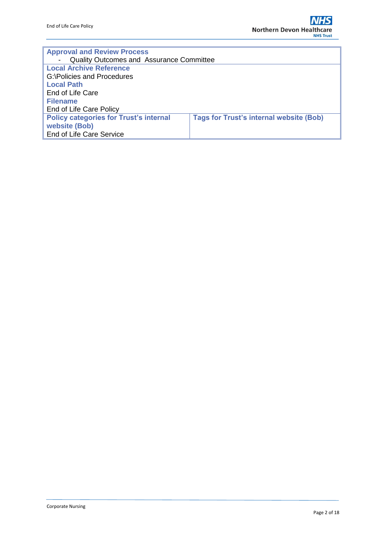| <b>Approval and Review Process</b>              |                                                |  |  |  |  |
|-------------------------------------------------|------------------------------------------------|--|--|--|--|
| <b>Quality Outcomes and Assurance Committee</b> |                                                |  |  |  |  |
| <b>Local Archive Reference</b>                  |                                                |  |  |  |  |
| G:\Policies and Procedures                      |                                                |  |  |  |  |
| <b>Local Path</b>                               |                                                |  |  |  |  |
| End of Life Care                                |                                                |  |  |  |  |
| <b>Filename</b>                                 |                                                |  |  |  |  |
| End of Life Care Policy                         |                                                |  |  |  |  |
| <b>Policy categories for Trust's internal</b>   | <b>Tags for Trust's internal website (Bob)</b> |  |  |  |  |
| website (Bob)                                   |                                                |  |  |  |  |
| <b>End of Life Care Service</b>                 |                                                |  |  |  |  |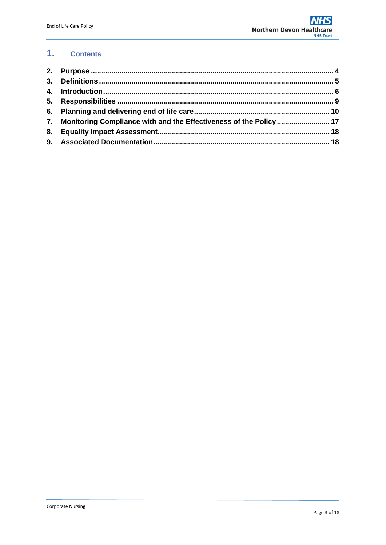#### $1.$ **Contents**

| 7. Monitoring Compliance with and the Effectiveness of the Policy  17 |  |
|-----------------------------------------------------------------------|--|
|                                                                       |  |
|                                                                       |  |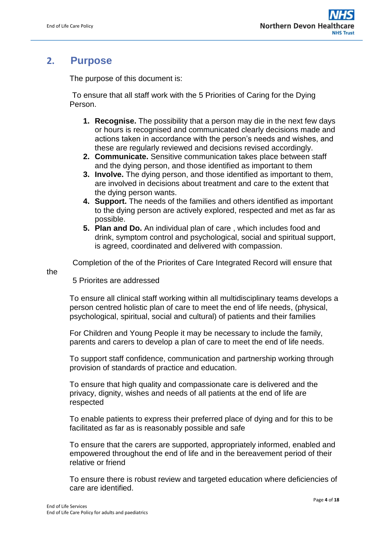# <span id="page-3-0"></span>**2. Purpose**

The purpose of this document is:

 To ensure that all staff work with the 5 Priorities of Caring for the Dying Person.

- **1. Recognise.** The possibility that a person may die in the next few days or hours is recognised and communicated clearly decisions made and actions taken in accordance with the person's needs and wishes, and these are regularly reviewed and decisions revised accordingly.
- **2. Communicate.** Sensitive communication takes place between staff and the dying person, and those identified as important to them
- **3. Involve.** The dying person, and those identified as important to them, are involved in decisions about treatment and care to the extent that the dying person wants.
- **4. Support.** The needs of the families and others identified as important to the dying person are actively explored, respected and met as far as possible.
- **5. Plan and Do.** An individual plan of care , which includes food and drink, symptom control and psychological, social and spiritual support, is agreed, coordinated and delivered with compassion.

Completion of the of the Priorites of Care Integrated Record will ensure that

the

5 Priorites are addressed

To ensure all clinical staff working within all multidisciplinary teams develops a person centred holistic plan of care to meet the end of life needs, (physical, psychological, spiritual, social and cultural) of patients and their families

For Children and Young People it may be necessary to include the family, parents and carers to develop a plan of care to meet the end of life needs.

To support staff confidence, communication and partnership working through provision of standards of practice and education.

To ensure that high quality and compassionate care is delivered and the privacy, dignity, wishes and needs of all patients at the end of life are respected

To enable patients to express their preferred place of dying and for this to be facilitated as far as is reasonably possible and safe

To ensure that the carers are supported, appropriately informed, enabled and empowered throughout the end of life and in the bereavement period of their relative or friend

To ensure there is robust review and targeted education where deficiencies of care are identified.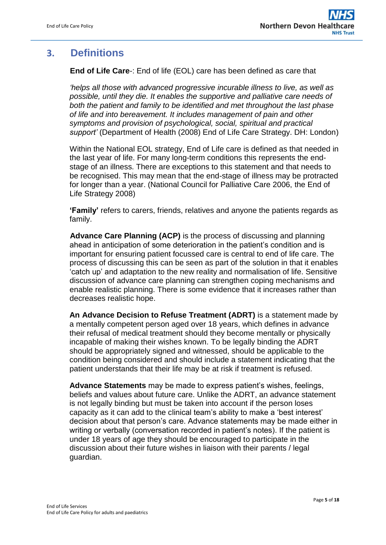# <span id="page-4-0"></span>**3. Definitions**

**End of Life Care**-: End of life (EOL) care has been defined as care that

*'helps all those with advanced progressive incurable illness to live, as well as possible, until they die. It enables the supportive and palliative care needs of both the patient and family to be identified and met throughout the last phase of life and into bereavement. It includes management of pain and other symptoms and provision of psychological, social, spiritual and practical support'* (Department of Health (2008) End of Life Care Strategy. DH: London)

Within the National EOL strategy, End of Life care is defined as that needed in the last year of life. For many long-term conditions this represents the endstage of an illness. There are exceptions to this statement and that needs to be recognised. This may mean that the end-stage of illness may be protracted for longer than a year. (National Council for Palliative Care 2006, the End of Life Strategy 2008)

**'Family'** refers to carers, friends, relatives and anyone the patients regards as family.

**Advance Care Planning (ACP)** is the process of discussing and planning ahead in anticipation of some deterioration in the patient's condition and is important for ensuring patient focussed care is central to end of life care. The process of discussing this can be seen as part of the solution in that it enables 'catch up' and adaptation to the new reality and normalisation of life. Sensitive discussion of advance care planning can strengthen coping mechanisms and enable realistic planning. There is some evidence that it increases rather than decreases realistic hope.

**An Advance Decision to Refuse Treatment (ADRT)** is a statement made by a mentally competent person aged over 18 years, which defines in advance their refusal of medical treatment should they become mentally or physically incapable of making their wishes known. To be legally binding the ADRT should be appropriately signed and witnessed, should be applicable to the condition being considered and should include a statement indicating that the patient understands that their life may be at risk if treatment is refused.

**Advance Statements** may be made to express patient's wishes, feelings, beliefs and values about future care. Unlike the ADRT, an advance statement is not legally binding but must be taken into account if the person loses capacity as it can add to the clinical team's ability to make a 'best interest' decision about that person's care. Advance statements may be made either in writing or verbally (conversation recorded in patient's notes). If the patient is under 18 years of age they should be encouraged to participate in the discussion about their future wishes in liaison with their parents / legal guardian.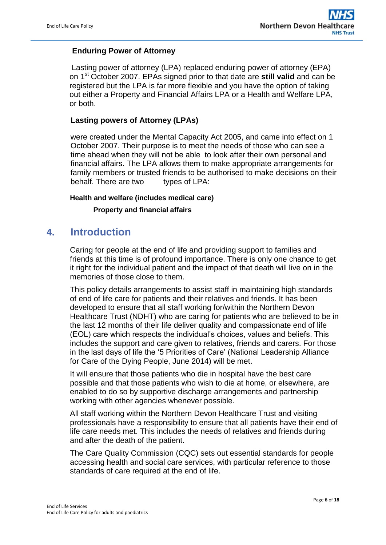### **Enduring Power of Attorney**

Lasting power of attorney (LPA) replaced enduring power of attorney (EPA) on 1st October 2007. EPAs signed prior to that date are **still valid** and can be registered but the LPA is far more flexible and you have the option of taking out either a Property and Financial Affairs LPA or a Health and Welfare LPA, or both.

### **Lasting powers of Attorney (LPAs)**

were created under the Mental Capacity Act 2005, and came into effect on 1 October 2007. Their purpose is to meet the needs of those who can see a time ahead when they will not be able to look after their own personal and financial affairs. The LPA allows them to make appropriate arrangements for family members or trusted friends to be authorised to make decisions on their behalf. There are two types of LPA:

### **Health and welfare (includes medical care)**

### **Property and financial affairs**

## <span id="page-5-0"></span>**4. Introduction**

Caring for people at the end of life and providing support to families and friends at this time is of profound importance. There is only one chance to get it right for the individual patient and the impact of that death will live on in the memories of those close to them.

This policy details arrangements to assist staff in maintaining high standards of end of life care for patients and their relatives and friends. It has been developed to ensure that all staff working for/within the Northern Devon Healthcare Trust (NDHT) who are caring for patients who are believed to be in the last 12 months of their life deliver quality and compassionate end of life (EOL) care which respects the individual's choices, values and beliefs. This includes the support and care given to relatives, friends and carers. For those in the last days of life the '5 Priorities of Care' (National Leadership Alliance for Care of the Dying People, June 2014) will be met.

It will ensure that those patients who die in hospital have the best care possible and that those patients who wish to die at home, or elsewhere, are enabled to do so by supportive discharge arrangements and partnership working with other agencies whenever possible.

All staff working within the Northern Devon Healthcare Trust and visiting professionals have a responsibility to ensure that all patients have their end of life care needs met. This includes the needs of relatives and friends during and after the death of the patient.

The Care Quality Commission (CQC) sets out essential standards for people accessing health and social care services, with particular reference to those standards of care required at the end of life.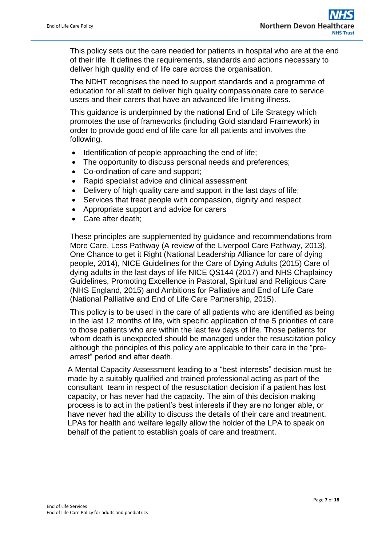This policy sets out the care needed for patients in hospital who are at the end of their life. It defines the requirements, standards and actions necessary to deliver high quality end of life care across the organisation.

The NDHT recognises the need to support standards and a programme of education for all staff to deliver high quality compassionate care to service users and their carers that have an advanced life limiting illness.

This guidance is underpinned by the national End of Life Strategy which promotes the use of frameworks (including Gold standard Framework) in order to provide good end of life care for all patients and involves the following.

- Identification of people approaching the end of life;
- The opportunity to discuss personal needs and preferences;
- Co-ordination of care and support;
- Rapid specialist advice and clinical assessment
- Delivery of high quality care and support in the last days of life;
- Services that treat people with compassion, dignity and respect
- Appropriate support and advice for carers
- Care after death:

These principles are supplemented by guidance and recommendations from More Care, Less Pathway (A review of the Liverpool Care Pathway, 2013), One Chance to get it Right (National Leadership Alliance for care of dying people, 2014), NICE Guidelines for the Care of Dying Adults (2015) Care of dying adults in the last days of life NICE QS144 (2017) and NHS Chaplaincy Guidelines, Promoting Excellence in Pastoral, Spiritual and Religious Care (NHS England, 2015) and Ambitions for Palliative and End of Life Care (National Palliative and End of Life Care Partnership, 2015).

This policy is to be used in the care of all patients who are identified as being in the last 12 months of life, with specific application of the 5 priorities of care to those patients who are within the last few days of life. Those patients for whom death is unexpected should be managed under the resuscitation policy although the principles of this policy are applicable to their care in the "prearrest" period and after death.

A Mental Capacity Assessment leading to a "best interests" decision must be made by a suitably qualified and trained professional acting as part of the consultant team in respect of the resuscitation decision if a patient has lost capacity, or has never had the capacity. The aim of this decision making process is to act in the patient's best interests if they are no longer able, or have never had the ability to discuss the details of their care and treatment. LPAs for health and welfare legally allow the holder of the LPA to speak on behalf of the patient to establish goals of care and treatment.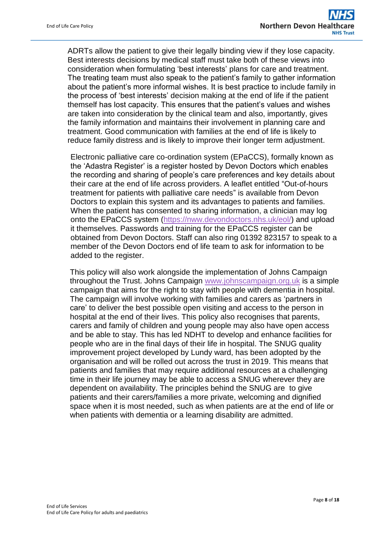ADRTs allow the patient to give their legally binding view if they lose capacity. Best interests decisions by medical staff must take both of these views into consideration when formulating 'best interests' plans for care and treatment. The treating team must also speak to the patient's family to gather information about the patient's more informal wishes. It is best practice to include family in the process of 'best interests' decision making at the end of life if the patient themself has lost capacity. This ensures that the patient's values and wishes are taken into consideration by the clinical team and also, importantly, gives the family information and maintains their involvement in planning care and treatment. Good communication with families at the end of life is likely to reduce family distress and is likely to improve their longer term adjustment.

Electronic palliative care co-ordination system (EPaCCS), formally known as the 'Adastra Register' is a register hosted by Devon Doctors which enables the recording and sharing of people's care preferences and key details about their care at the end of life across providers. A leaflet entitled "Out-of-hours treatment for patients with palliative care needs" is available from Devon Doctors to explain this system and its advantages to patients and families. When the patient has consented to sharing information, a clinician may log onto the EPaCCS system [\(https://nww.devondoctors.nhs.uk/eol/\)](https://nww.devondoctors.nhs.uk/eol/) and upload it themselves. Passwords and training for the EPaCCS register can be obtained from Devon Doctors. Staff can also ring 01392 823157 to speak to a member of the Devon Doctors end of life team to ask for information to be added to the register.

This policy will also work alongside the implementation of Johns Campaign throughout the Trust. Johns Campaign [www.johnscampaign.org.uk](http://www.johnscampaign.org.uk/) is a simple campaign that aims for the right to stay with people with dementia in hospital. The campaign will involve working with families and carers as 'partners in care' to deliver the best possible open visiting and access to the person in hospital at the end of their lives. This policy also recognises that parents, carers and family of children and young people may also have open access and be able to stay. This has led NDHT to develop and enhance facilities for people who are in the final days of their life in hospital. The SNUG quality improvement project developed by Lundy ward, has been adopted by the organisation and will be rolled out across the trust in 2019. This means that patients and families that may require additional resources at a challenging time in their life journey may be able to access a SNUG wherever they are dependent on availability. The principles behind the SNUG are to give patients and their carers/families a more private, welcoming and dignified space when it is most needed, such as when patients are at the end of life or when patients with dementia or a learning disability are admitted.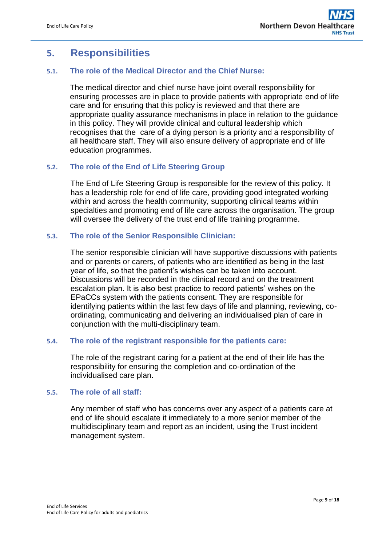# <span id="page-8-0"></span>**5. Responsibilities**

### **5.1. The role of the Medical Director and the Chief Nurse:**

The medical director and chief nurse have joint overall responsibility for ensuring processes are in place to provide patients with appropriate end of life care and for ensuring that this policy is reviewed and that there are appropriate quality assurance mechanisms in place in relation to the guidance in this policy. They will provide clinical and cultural leadership which recognises that the care of a dying person is a priority and a responsibility of all healthcare staff. They will also ensure delivery of appropriate end of life education programmes.

### **5.2. The role of the End of Life Steering Group**

The End of Life Steering Group is responsible for the review of this policy. It has a leadership role for end of life care, providing good integrated working within and across the health community, supporting clinical teams within specialties and promoting end of life care across the organisation. The group will oversee the delivery of the trust end of life training programme.

### **5.3. The role of the Senior Responsible Clinician:**

The senior responsible clinician will have supportive discussions with patients and or parents or carers, of patients who are identified as being in the last year of life, so that the patient's wishes can be taken into account. Discussions will be recorded in the clinical record and on the treatment escalation plan. It is also best practice to record patients' wishes on the EPaCCs system with the patients consent. They are responsible for identifying patients within the last few days of life and planning, reviewing, coordinating, communicating and delivering an individualised plan of care in conjunction with the multi-disciplinary team.

### **5.4. The role of the registrant responsible for the patients care:**

The role of the registrant caring for a patient at the end of their life has the responsibility for ensuring the completion and co-ordination of the individualised care plan.

### **5.5. The role of all staff:**

Any member of staff who has concerns over any aspect of a patients care at end of life should escalate it immediately to a more senior member of the multidisciplinary team and report as an incident, using the Trust incident management system.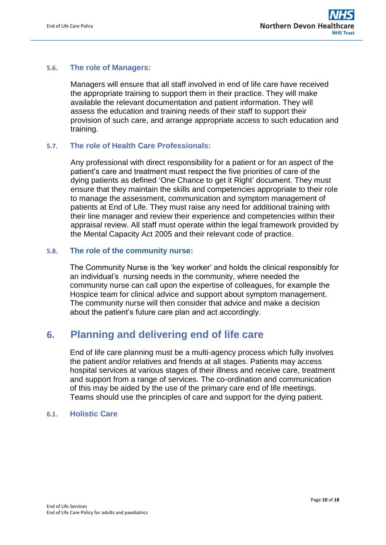### **5.6. The role of Managers:**

Managers will ensure that all staff involved in end of life care have received the appropriate training to support them in their practice. They will make available the relevant documentation and patient information. They will assess the education and training needs of their staff to support their provision of such care, and arrange appropriate access to such education and training.

### **5.7. The role of Health Care Professionals:**

Any professional with direct responsibility for a patient or for an aspect of the patient's care and treatment must respect the five priorities of care of the dying patients as defined 'One Chance to get it Right' document. They must ensure that they maintain the skills and competencies appropriate to their role to manage the assessment, communication and symptom management of patients at End of Life. They must raise any need for additional training with their line manager and review their experience and competencies within their appraisal review. All staff must operate within the legal framework provided by the Mental Capacity Act 2005 and their relevant code of practice.

### **5.8. The role of the community nurse:**

The Community Nurse is the 'key worker' and holds the clinical responsibly for an individual's nursing needs in the community, where needed the community nurse can call upon the expertise of colleagues, for example the Hospice team for clinical advice and support about symptom management. The community nurse will then consider that advice and make a decision about the patient's future care plan and act accordingly.

## <span id="page-9-0"></span>**6. Planning and delivering end of life care**

End of life care planning must be a multi-agency process which fully involves the patient and/or relatives and friends at all stages. Patients may access hospital services at various stages of their illness and receive care, treatment and support from a range of services. The co-ordination and communication of this may be aided by the use of the primary care end of life meetings. Teams should use the principles of care and support for the dying patient.

### **6.1. Holistic Care**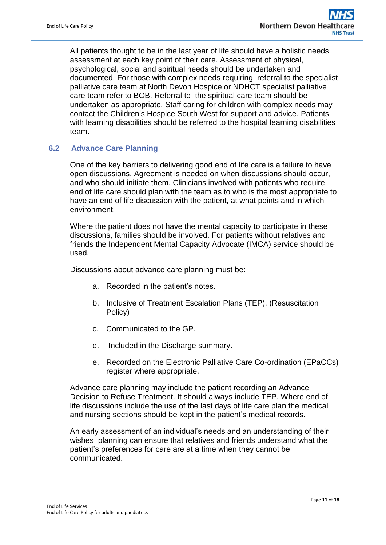All patients thought to be in the last year of life should have a holistic needs assessment at each key point of their care. Assessment of physical, psychological, social and spiritual needs should be undertaken and documented. For those with complex needs requiring referral to the specialist palliative care team at North Devon Hospice or NDHCT specialist palliative care team refer to BOB. Referral to the spiritual care team should be undertaken as appropriate. Staff caring for children with complex needs may contact the Children's Hospice South West for support and advice. Patients with learning disabilities should be referred to the hospital learning disabilities team.

### **6.2 Advance Care Planning**

One of the key barriers to delivering good end of life care is a failure to have open discussions. Agreement is needed on when discussions should occur, and who should initiate them. Clinicians involved with patients who require end of life care should plan with the team as to who is the most appropriate to have an end of life discussion with the patient, at what points and in which environment.

Where the patient does not have the mental capacity to participate in these discussions, families should be involved. For patients without relatives and friends the Independent Mental Capacity Advocate (IMCA) service should be used.

Discussions about advance care planning must be:

- a. Recorded in the patient's notes.
- b. Inclusive of Treatment Escalation Plans (TEP). (Resuscitation Policy)
- c. Communicated to the GP.
- d. Included in the Discharge summary.
- e. Recorded on the Electronic Palliative Care Co-ordination (EPaCCs) register where appropriate.

Advance care planning may include the patient recording an Advance Decision to Refuse Treatment. It should always include TEP. Where end of life discussions include the use of the last days of life care plan the medical and nursing sections should be kept in the patient's medical records.

An early assessment of an individual's needs and an understanding of their wishes planning can ensure that relatives and friends understand what the patient's preferences for care are at a time when they cannot be communicated.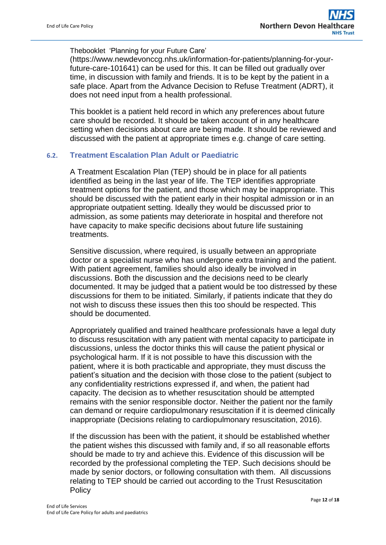### Thebooklet 'Planning for your Future Care'

(https://www.newdevonccg.nhs.uk/information-for-patients/planning-for-yourfuture-care-101641) can be used for this. It can be filled out gradually over time, in discussion with family and friends. It is to be kept by the patient in a safe place. Apart from the Advance Decision to Refuse Treatment (ADRT), it does not need input from a health professional.

This booklet is a patient held record in which any preferences about future care should be recorded. It should be taken account of in any healthcare setting when decisions about care are being made. It should be reviewed and discussed with the patient at appropriate times e.g. change of care setting.

### **6.2. Treatment Escalation Plan Adult or Paediatric**

A Treatment Escalation Plan (TEP) should be in place for all patients identified as being in the last year of life. The TEP identifies appropriate treatment options for the patient, and those which may be inappropriate. This should be discussed with the patient early in their hospital admission or in an appropriate outpatient setting. Ideally they would be discussed prior to admission, as some patients may deteriorate in hospital and therefore not have capacity to make specific decisions about future life sustaining treatments.

Sensitive discussion, where required, is usually between an appropriate doctor or a specialist nurse who has undergone extra training and the patient. With patient agreement, families should also ideally be involved in discussions. Both the discussion and the decisions need to be clearly documented. It may be judged that a patient would be too distressed by these discussions for them to be initiated. Similarly, if patients indicate that they do not wish to discuss these issues then this too should be respected. This should be documented.

Appropriately qualified and trained healthcare professionals have a legal duty to discuss resuscitation with any patient with mental capacity to participate in discussions, unless the doctor thinks this will cause the patient physical or psychological harm. If it is not possible to have this discussion with the patient, where it is both practicable and appropriate, they must discuss the patient's situation and the decision with those close to the patient (subject to any confidentiality restrictions expressed if, and when, the patient had capacity. The decision as to whether resuscitation should be attempted remains with the senior responsible doctor. Neither the patient nor the family can demand or require cardiopulmonary resuscitation if it is deemed clinically inappropriate (Decisions relating to cardiopulmonary resuscitation, 2016).

If the discussion has been with the patient, it should be established whether the patient wishes this discussed with family and, if so all reasonable efforts should be made to try and achieve this. Evidence of this discussion will be recorded by the professional completing the TEP. Such decisions should be made by senior doctors, or following consultation with them. All discussions relating to TEP should be carried out according to the Trust Resuscitation Policy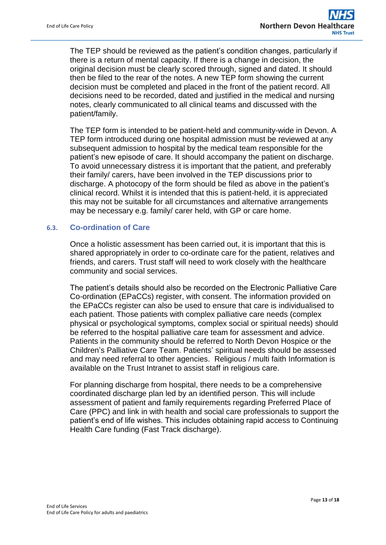The TEP should be reviewed as the patient's condition changes, particularly if there is a return of mental capacity. If there is a change in decision, the original decision must be clearly scored through, signed and dated. It should then be filed to the rear of the notes. A new TEP form showing the current decision must be completed and placed in the front of the patient record. All decisions need to be recorded, dated and justified in the medical and nursing notes, clearly communicated to all clinical teams and discussed with the patient/family.

The TEP form is intended to be patient-held and community-wide in Devon. A TEP form introduced during one hospital admission must be reviewed at any subsequent admission to hospital by the medical team responsible for the patient's new episode of care. It should accompany the patient on discharge. To avoid unnecessary distress it is important that the patient, and preferably their family/ carers, have been involved in the TEP discussions prior to discharge. A photocopy of the form should be filed as above in the patient's clinical record. Whilst it is intended that this is patient-held, it is appreciated this may not be suitable for all circumstances and alternative arrangements may be necessary e.g. family/ carer held, with GP or care home.

### **6.3. Co-ordination of Care**

Once a holistic assessment has been carried out, it is important that this is shared appropriately in order to co-ordinate care for the patient, relatives and friends, and carers. Trust staff will need to work closely with the healthcare community and social services.

The patient's details should also be recorded on the Electronic Palliative Care Co-ordination (EPaCCs) register, with consent. The information provided on the EPaCCs register can also be used to ensure that care is individualised to each patient. Those patients with complex palliative care needs (complex physical or psychological symptoms, complex social or spiritual needs) should be referred to the hospital palliative care team for assessment and advice. Patients in the community should be referred to North Devon Hospice or the Children's Palliative Care Team. Patients' spiritual needs should be assessed and may need referral to other agencies. Religious / multi faith Information is available on the Trust Intranet to assist staff in religious care.

For planning discharge from hospital, there needs to be a comprehensive coordinated discharge plan led by an identified person. This will include assessment of patient and family requirements regarding Preferred Place of Care (PPC) and link in with health and social care professionals to support the patient's end of life wishes. This includes obtaining rapid access to Continuing Health Care funding (Fast Track discharge).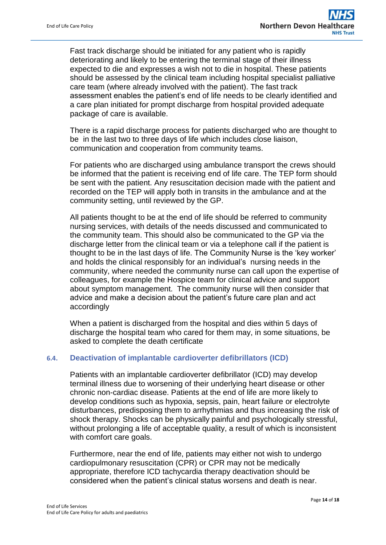Fast track discharge should be initiated for any patient who is rapidly deteriorating and likely to be entering the terminal stage of their illness expected to die and expresses a wish not to die in hospital. These patients should be assessed by the clinical team including hospital specialist palliative care team (where already involved with the patient). The fast track assessment enables the patient's end of life needs to be clearly identified and a care plan initiated for prompt discharge from hospital provided adequate package of care is available.

There is a rapid discharge process for patients discharged who are thought to be in the last two to three days of life which includes close liaison, communication and cooperation from community teams.

For patients who are discharged using ambulance transport the crews should be informed that the patient is receiving end of life care. The TEP form should be sent with the patient. Any resuscitation decision made with the patient and recorded on the TEP will apply both in transits in the ambulance and at the community setting, until reviewed by the GP.

All patients thought to be at the end of life should be referred to community nursing services, with details of the needs discussed and communicated to the community team. This should also be communicated to the GP via the discharge letter from the clinical team or via a telephone call if the patient is thought to be in the last days of life. The Community Nurse is the 'key worker' and holds the clinical responsibly for an individual's nursing needs in the community, where needed the community nurse can call upon the expertise of colleagues, for example the Hospice team for clinical advice and support about symptom management. The community nurse will then consider that advice and make a decision about the patient's future care plan and act accordingly

When a patient is discharged from the hospital and dies within 5 days of discharge the hospital team who cared for them may, in some situations, be asked to complete the death certificate

### **6.4. Deactivation of implantable cardioverter defibrillators (ICD)**

Patients with an implantable cardioverter defibrillator (ICD) may develop terminal illness due to worsening of their underlying heart disease or other chronic non-cardiac disease. Patients at the end of life are more likely to develop conditions such as hypoxia, sepsis, pain, heart failure or electrolyte disturbances, predisposing them to arrhythmias and thus increasing the risk of shock therapy. Shocks can be physically painful and psychologically stressful, without prolonging a life of acceptable quality, a result of which is inconsistent with comfort care goals.

Furthermore, near the end of life, patients may either not wish to undergo cardiopulmonary resuscitation (CPR) or CPR may not be medically appropriate, therefore ICD tachycardia therapy deactivation should be considered when the patient's clinical status worsens and death is near.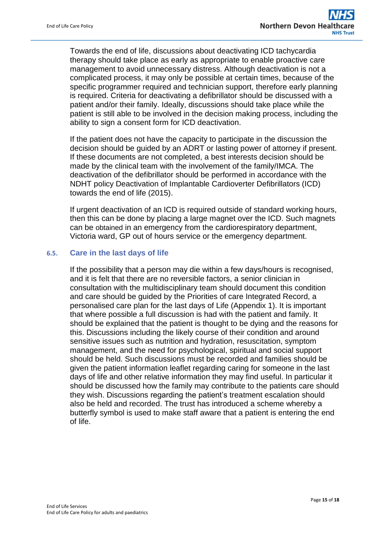Towards the end of life, discussions about deactivating ICD tachycardia therapy should take place as early as appropriate to enable proactive care management to avoid unnecessary distress. Although deactivation is not a complicated process, it may only be possible at certain times, because of the specific programmer required and technician support, therefore early planning is required. Criteria for deactivating a defibrillator should be discussed with a patient and/or their family. Ideally, discussions should take place while the patient is still able to be involved in the decision making process, including the ability to sign a consent form for ICD deactivation.

If the patient does not have the capacity to participate in the discussion the decision should be guided by an ADRT or lasting power of attorney if present. If these documents are not completed, a best interests decision should be made by the clinical team with the involvement of the family/IMCA. The deactivation of the defibrillator should be performed in accordance with the NDHT policy Deactivation of Implantable Cardioverter Defibrillators (ICD) towards the end of life (2015).

If urgent deactivation of an ICD is required outside of standard working hours, then this can be done by placing a large magnet over the ICD. Such magnets can be obtained in an emergency from the cardiorespiratory department, Victoria ward, GP out of hours service or the emergency department.

### **6.5. Care in the last days of life**

If the possibility that a person may die within a few days/hours is recognised, and it is felt that there are no reversible factors, a senior clinician in consultation with the multidisciplinary team should document this condition and care should be guided by the Priorities of care Integrated Record, a personalised care plan for the last days of Life (Appendix 1). It is important that where possible a full discussion is had with the patient and family. It should be explained that the patient is thought to be dying and the reasons for this. Discussions including the likely course of their condition and around sensitive issues such as nutrition and hydration, resuscitation, symptom management, and the need for psychological, spiritual and social support should be held. Such discussions must be recorded and families should be given the patient information leaflet regarding caring for someone in the last days of life and other relative information they may find useful. In particular it should be discussed how the family may contribute to the patients care should they wish. Discussions regarding the patient's treatment escalation should also be held and recorded. The trust has introduced a scheme whereby a butterfly symbol is used to make staff aware that a patient is entering the end of life.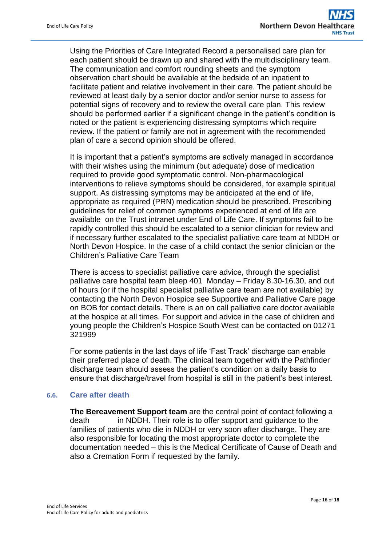Using the Priorities of Care Integrated Record a personalised care plan for each patient should be drawn up and shared with the multidisciplinary team. The communication and comfort rounding sheets and the symptom observation chart should be available at the bedside of an inpatient to facilitate patient and relative involvement in their care. The patient should be reviewed at least daily by a senior doctor and/or senior nurse to assess for potential signs of recovery and to review the overall care plan. This review should be performed earlier if a significant change in the patient's condition is noted or the patient is experiencing distressing symptoms which require review. If the patient or family are not in agreement with the recommended plan of care a second opinion should be offered.

It is important that a patient's symptoms are actively managed in accordance with their wishes using the minimum (but adequate) dose of medication required to provide good symptomatic control. Non-pharmacological interventions to relieve symptoms should be considered, for example spiritual support. As distressing symptoms may be anticipated at the end of life, appropriate as required (PRN) medication should be prescribed. Prescribing guidelines for relief of common symptoms experienced at end of life are available on the Trust intranet under End of Life Care. If symptoms fail to be rapidly controlled this should be escalated to a senior clinician for review and if necessary further escalated to the specialist palliative care team at NDDH or North Devon Hospice. In the case of a child contact the senior clinician or the Children's Palliative Care Team

There is access to specialist palliative care advice, through the specialist palliative care hospital team bleep 401 Monday – Friday 8.30-16.30, and out of hours (or if the hospital specialist palliative care team are not available) by contacting the North Devon Hospice see Supportive and Palliative Care page on BOB for contact details. There is an on call palliative care doctor available at the hospice at all times. For support and advice in the case of children and young people the Children's Hospice South West can be contacted on 01271 321999

For some patients in the last days of life 'Fast Track' discharge can enable their preferred place of death. The clinical team together with the Pathfinder discharge team should assess the patient's condition on a daily basis to ensure that discharge/travel from hospital is still in the patient's best interest.

### **6.6. Care after death**

**The Bereavement Support team** are the central point of contact following a death in NDDH. Their role is to offer support and guidance to the families of patients who die in NDDH or very soon after discharge. They are also responsible for locating the most appropriate doctor to complete the documentation needed – this is the Medical Certificate of Cause of Death and also a Cremation Form if requested by the family.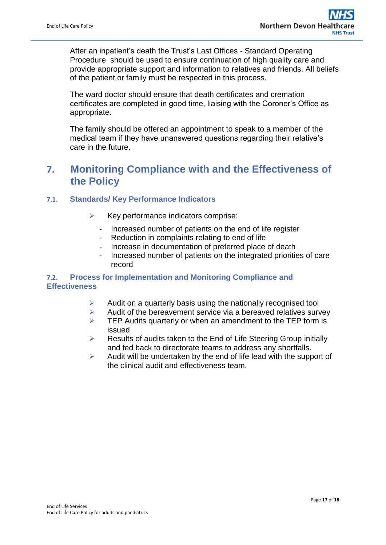After an inpatient's death the Trust's Last Offices - Standard Operating Procedure should be used to ensure continuation of high quality care and provide appropriate support and information to relatives and friends. All beliefs of the patient or family must be respected in this process.

The ward doctor should ensure that death certificates and cremation certificates are completed in good time, liaising with the Coroner's Office as appropriate.

The family should be offered an appointment to speak to a member of the medical team if they have unanswered questions regarding their relative's care in the future.

# <span id="page-16-0"></span>**7. Monitoring Compliance with and the Effectiveness of the Policy**

### **7.1. Standards/ Key Performance Indicators**

- $\triangleright$  Key performance indicators comprise:
	- Increased number of patients on the end of life register
	- Reduction in complaints relating to end of life
	- Increase in documentation of preferred place of death
	- Increased number of patients on the integrated priorities of care record

### **7.2. Process for Implementation and Monitoring Compliance and Effectiveness**

- $\triangleright$  Audit on a quarterly basis using the nationally recognised tool
- $\triangleright$  Audit of the bereavement service via a bereaved relatives survey
- $\triangleright$  TEP Audits quarterly or when an amendment to the TEP form is issued
- $\triangleright$  Results of audits taken to the End of Life Steering Group initially and fed back to directorate teams to address any shortfalls.
- $\triangleright$  Audit will be undertaken by the end of life lead with the support of the clinical audit and effectiveness team.